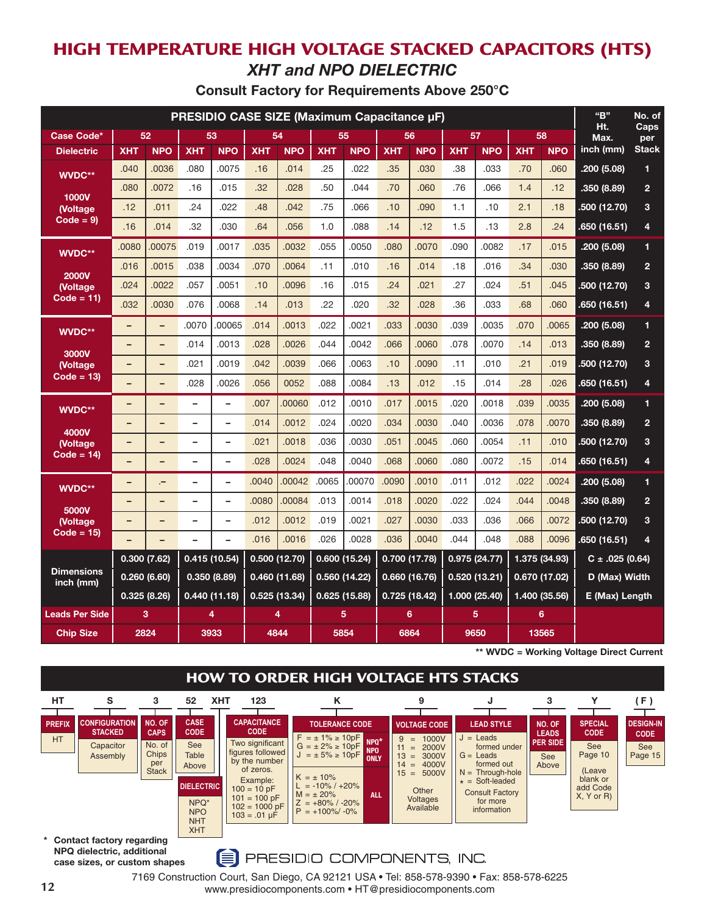# **HIGH TEMPERATURE HIGH VOLTAGE STACKED CAPACITORS (HTS)** *XHT and NPO DIELECTRIC*

| Consult Factory for Requirements Above 250°C |  |  |  |  |  |
|----------------------------------------------|--|--|--|--|--|
|----------------------------------------------|--|--|--|--|--|

| PRESIDIO CASE SIZE (Maximum Capacitance µF) |                            |                          |                          |                          |               |               |              |               |               | "B"           | No. of        |               |               |               |                     |                |
|---------------------------------------------|----------------------------|--------------------------|--------------------------|--------------------------|---------------|---------------|--------------|---------------|---------------|---------------|---------------|---------------|---------------|---------------|---------------------|----------------|
| Case Code*                                  | 52<br>53                   |                          | 54                       |                          | 55            |               | 56           |               | 57            |               | 58            |               | Ht.<br>Max.   | Caps<br>per   |                     |                |
| <b>Dielectric</b>                           | <b>XHT</b>                 | <b>NPO</b>               | <b>XHT</b>               | <b>NPO</b>               | <b>XHT</b>    | <b>NPO</b>    | <b>XHT</b>   | <b>NPO</b>    | <b>XHT</b>    | <b>NPO</b>    | <b>XHT</b>    | <b>NPO</b>    | <b>XHT</b>    | <b>NPO</b>    | inch (mm)           | <b>Stack</b>   |
| WVDC**                                      | .040                       | .0036                    | .080                     | .0075                    | .16           | .014          | .25          | .022          | .35           | .030          | .38           | .033          | .70           | .060          | .200 (5.08)         | $\mathbf{1}$   |
| 1000V                                       | .080                       | .0072                    | .16                      | .015                     | .32           | .028          | .50          | .044          | .70           | .060          | .76           | .066          | 1.4           | .12           | .350 (8.89)         | $\overline{2}$ |
| (Voltage                                    | .12                        | .011                     | .24                      | .022                     | .48           | .042          | .75          | .066          | .10           | .090          | 1.1           | .10           | 2.1           | .18           | .500 (12.70)        | 3              |
| $Code = 9$                                  | .16                        | .014                     | .32                      | .030                     | .64           | .056          | 1.0          | .088          | .14           | .12           | 1.5           | .13           | 2.8           | .24           | .650(16.51)         | 4              |
| WVDC**                                      | .0080                      | .00075                   | .019                     | .0017                    | .035          | .0032         | .055         | .0050         | .080          | .0070         | .090          | .0082         | .17           | .015          | .200(5.08)          | $\mathbf{1}$   |
| <b>2000V</b>                                | .016                       | .0015                    | .038                     | .0034                    | .070          | .0064         | .11          | .010          | .16           | .014          | .18           | .016          | .34           | .030          | .350 (8.89)         | $\overline{2}$ |
| <b>(Voltage)</b>                            | .024                       | .0022                    | .057                     | .0051                    | .10           | .0096         | .16          | .015          | .24           | .021          | .27           | .024          | .51           | .045          | .500 (12.70)        | 3              |
| $Code = 11)$                                | .032                       | .0030                    | .076                     | .0068                    | .14           | .013          | .22          | .020          | .32           | .028          | .36           | .033          | .68           | .060          | .650 (16.51)        | 4              |
| WVDC**                                      | -                          | $\overline{\phantom{0}}$ | .0070                    | .00065                   | .014          | .0013         | .022         | .0021         | .033          | .0030         | .039          | .0035         | .070          | .0065         | .200 (5.08)         | 1              |
| 3000V                                       | $\overline{\phantom{0}}$   | -                        | .014                     | .0013                    | .028          | .0026         | .044         | .0042         | .066          | .0060         | .078          | .0070         | .14           | .013          | .350 (8.89)         | $\overline{2}$ |
| <b>(Voltage)</b>                            | -                          | -                        | .021                     | .0019                    | .042          | .0039         | .066         | .0063         | .10           | .0090         | .11           | .010          | .21           | .019          | .500 (12.70)        | 3              |
| $Code = 13$                                 | -                          | -                        | .028                     | .0026                    | .056          | 0052          | .088         | .0084         | .13           | .012          | .15           | .014          | .28           | .026          | .650 (16.51)        | 4              |
| WVDC**                                      | -                          | -                        | $\overline{\phantom{0}}$ | $\overline{\phantom{0}}$ | .007          | .00060        | .012         | .0010         | .017          | .0015         | .020          | .0018         | .039          | .0035         | .200 (5.08)         | 1              |
| 4000V                                       | -                          | -                        | -                        | $\qquad \qquad -$        | .014          | .0012         | .024         | .0020         | .034          | .0030         | .040          | .0036         | .078          | .0070         | .350(8.89)          | $\overline{2}$ |
| <b>Noltage</b>                              | $\overline{\phantom{0}}$   | ÷                        | $\overline{\phantom{0}}$ | $\overline{\phantom{0}}$ | .021          | .0018         | .036         | .0030         | .051          | .0045         | .060          | .0054         | .11           | .010          | .500 (12.70)        | 3              |
| Code = 14)                                  | $\qquad \qquad -$          | -                        | $\overline{\phantom{0}}$ | $\overline{\phantom{a}}$ | .028          | .0024         | .048         | .0040         | .068          | .0060         | .080          | .0072         | .15           | .014          | .650 (16.51)        | 4              |
| WVDC**                                      | -                          | ÷                        | $\overline{\phantom{0}}$ | $\overline{\phantom{0}}$ | .0040         | .00042        | .0065        | 00070         | .0090         | .0010         | .011          | .012          | .022          | .0024         | .200(5.08)          | $\mathbf{1}$   |
| 5000V                                       | -                          | -                        | -                        | $\overline{\phantom{0}}$ | .0080         | .00084        | .013         | .0014         | .018          | .0020         | .022          | .024          | .044          | .0048         | .350 (8.89)         | $\overline{2}$ |
| <b>Noltage</b>                              | $\qquad \qquad -$          | $\overline{\phantom{0}}$ | $\overline{\phantom{0}}$ | $\qquad \qquad -$        | .012          | .0012         | .019         | .0021         | .027          | .0030         | .033          | .036          | .066          | .0072         | .500 (12.70)        | 3              |
| Code = 15)                                  | -                          | -                        | $\overline{\phantom{0}}$ |                          | .016          | .0016         | .026         | .0028         | .036          | .0040         | .044          | .048          | .088          | .0096         | .650 (16.51)        | 4              |
|                                             |                            | 0.300(7.62)              | 0.415 (10.54)            |                          | 0.500 (12.70) |               |              | 0.600(15.24)  | 0.700 (17.78) |               | 0.975 (24.77) |               |               | 1.375 (34.93) | $C \pm .025$ (0.64) |                |
| <b>Dimensions</b><br>inch (mm)              | 0.260(6.60)<br>0.350(8.89) |                          |                          | 0.460 (11.68)            |               | 0.560 (14.22) |              | 0.660 (16.76) |               | 0.520 (13.21) |               | 0.670 (17.02) |               | D (Max) Width |                     |                |
|                                             |                            | 0.325(8.26)              | 0.440 (11.18)            |                          | 0.525 (13.34) |               | 0.625(15.88) |               | 0.725(18.42)  |               | 1.000 (25.40) |               | 1.400 (35.56) |               | E (Max) Length      |                |
| <b>Leads Per Side</b>                       |                            | 3                        |                          | 4                        |               | 4             |              | 5             |               | 6             |               | 5             |               | 6             |                     |                |
| <b>Chip Size</b>                            |                            | 2824                     |                          | 3933                     |               | 4844          |              | 5854          |               | 6864          | 9650          |               |               | 13565         |                     |                |

**\*\* WVDC = Working Voltage Direct Current**